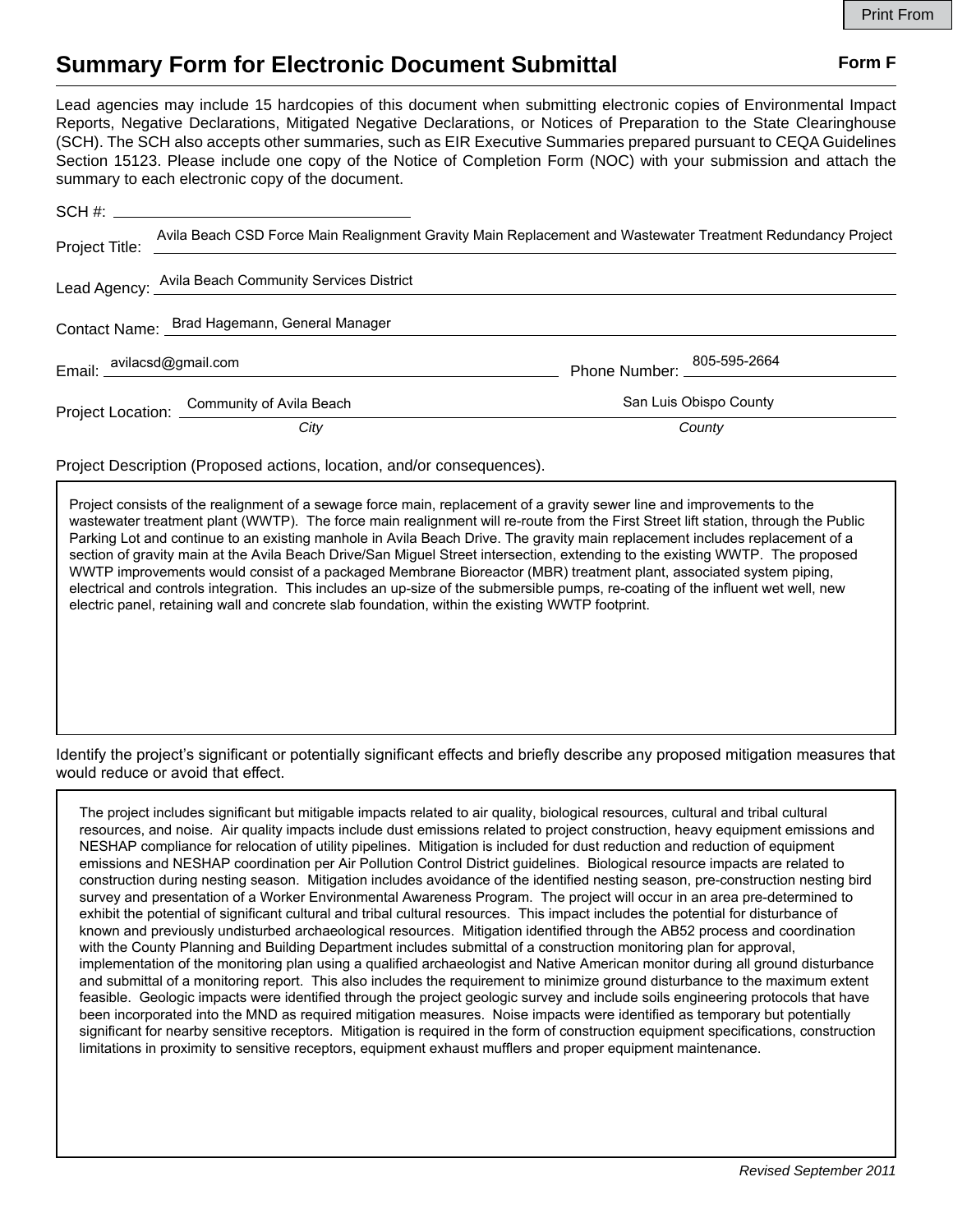## **Summary Form for Electronic Document Submittal Form F Form F**

Lead agencies may include 15 hardcopies of this document when submitting electronic copies of Environmental Impact Reports, Negative Declarations, Mitigated Negative Declarations, or Notices of Preparation to the State Clearinghouse (SCH). The SCH also accepts other summaries, such as EIR Executive Summaries prepared pursuant to CEQA Guidelines Section 15123. Please include one copy of the Notice of Completion Form (NOC) with your submission and attach the summary to each electronic copy of the document.

| Project Title: |                                                      | Avila Beach CSD Force Main Realignment Gravity Main Replacement and Wastewater Treatment Redundancy Project |
|----------------|------------------------------------------------------|-------------------------------------------------------------------------------------------------------------|
|                | Lead Agency: Avila Beach Community Services District |                                                                                                             |
|                | Contact Name: Brad Hagemann, General Manager         |                                                                                                             |
|                | Email: avilacsd@gmail.com<br>                        | Phone Number: 205-595-2664                                                                                  |
|                | Project Location: Community of Avila Beach           | San Luis Obispo County                                                                                      |
|                | City                                                 | County                                                                                                      |

Project Description (Proposed actions, location, and/or consequences).

Project consists of the realignment of a sewage force main, replacement of a gravity sewer line and improvements to the wastewater treatment plant (WWTP). The force main realignment will re-route from the First Street lift station, through the Public Parking Lot and continue to an existing manhole in Avila Beach Drive. The gravity main replacement includes replacement of a section of gravity main at the Avila Beach Drive/San Miguel Street intersection, extending to the existing WWTP. The proposed WWTP improvements would consist of a packaged Membrane Bioreactor (MBR) treatment plant, associated system piping, electrical and controls integration. This includes an up-size of the submersible pumps, re-coating of the influent wet well, new electric panel, retaining wall and concrete slab foundation, within the existing WWTP footprint.

Identify the project's significant or potentially significant effects and briefly describe any proposed mitigation measures that would reduce or avoid that effect.

The project includes significant but mitigable impacts related to air quality, biological resources, cultural and tribal cultural resources, and noise. Air quality impacts include dust emissions related to project construction, heavy equipment emissions and NESHAP compliance for relocation of utility pipelines. Mitigation is included for dust reduction and reduction of equipment emissions and NESHAP coordination per Air Pollution Control District guidelines. Biological resource impacts are related to construction during nesting season. Mitigation includes avoidance of the identified nesting season, pre-construction nesting bird survey and presentation of a Worker Environmental Awareness Program. The project will occur in an area pre-determined to exhibit the potential of significant cultural and tribal cultural resources. This impact includes the potential for disturbance of known and previously undisturbed archaeological resources. Mitigation identified through the AB52 process and coordination with the County Planning and Building Department includes submittal of a construction monitoring plan for approval, implementation of the monitoring plan using a qualified archaeologist and Native American monitor during all ground disturbance and submittal of a monitoring report. This also includes the requirement to minimize ground disturbance to the maximum extent feasible. Geologic impacts were identified through the project geologic survey and include soils engineering protocols that have been incorporated into the MND as required mitigation measures. Noise impacts were identified as temporary but potentially significant for nearby sensitive receptors. Mitigation is required in the form of construction equipment specifications, construction limitations in proximity to sensitive receptors, equipment exhaust mufflers and proper equipment maintenance.